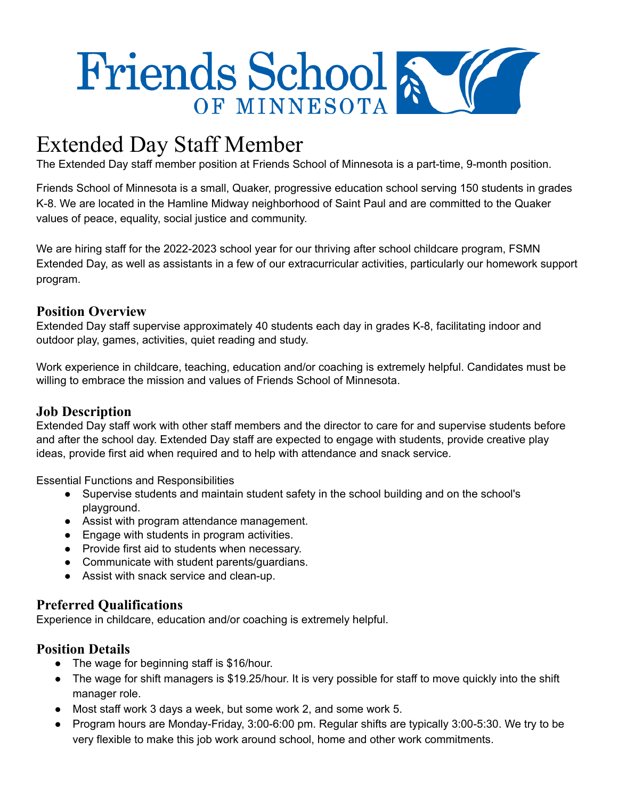

# Extended Day Staff Member

The Extended Day staff member position at Friends School of Minnesota is a part-time, 9-month position.

Friends School of Minnesota is a small, Quaker, progressive education school serving 150 students in grades K-8. We are located in the Hamline Midway neighborhood of Saint Paul and are committed to the Quaker values of peace, equality, social justice and community.

We are hiring staff for the 2022-2023 school year for our thriving after school childcare program, FSMN Extended Day, as well as assistants in a few of our extracurricular activities, particularly our homework support program.

### **Position Overview**

Extended Day staff supervise approximately 40 students each day in grades K-8, facilitating indoor and outdoor play, games, activities, quiet reading and study.

Work experience in childcare, teaching, education and/or coaching is extremely helpful. Candidates must be willing to embrace the mission and values of Friends School of Minnesota.

## **Job Description**

Extended Day staff work with other staff members and the director to care for and supervise students before and after the school day. Extended Day staff are expected to engage with students, provide creative play ideas, provide first aid when required and to help with attendance and snack service.

Essential Functions and Responsibilities

- Supervise students and maintain student safety in the school building and on the school's playground.
- Assist with program attendance management.
- Engage with students in program activities.
- Provide first aid to students when necessary.
- Communicate with student parents/guardians.
- Assist with snack service and clean-up.

#### **Preferred Qualifications**

Experience in childcare, education and/or coaching is extremely helpful.

#### **Position Details**

- The wage for beginning staff is \$16/hour.
- The wage for shift managers is \$19.25/hour. It is very possible for staff to move quickly into the shift manager role.
- Most staff work 3 days a week, but some work 2, and some work 5.
- Program hours are Monday-Friday, 3:00-6:00 pm. Regular shifts are typically 3:00-5:30. We try to be very flexible to make this job work around school, home and other work commitments.